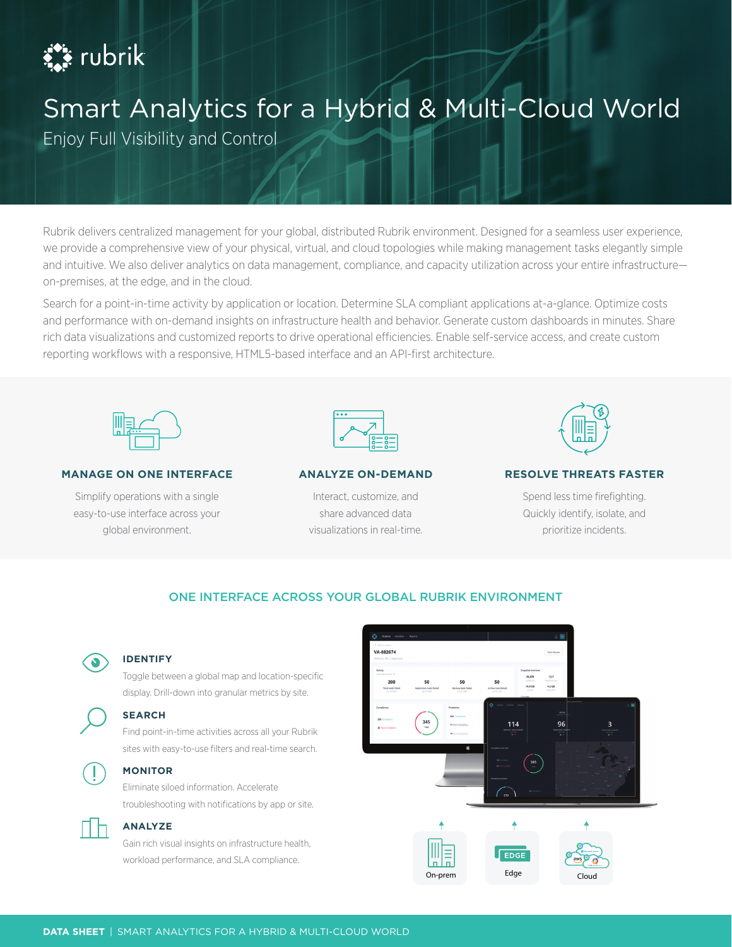# $\sum_{i=1}^{n}$  rubrik

# Smart Analytics for a Hybrid & Multi-Cloud World

Enjoy Full Visibility and Control

Rubrik delivers centralized management for your global, distributed Rubrik environment. Designed for a seamless user experience, we provide a comprehensive view of your physical, virtual, and cloud topologies while making management tasks elegantly simple and intuitive. We also deliver analytics on data management, compliance, and capacity utilization across your entire infrastructure on-premises, at the edge, and in the cloud.

Search for a point-in-time activity by application or location. Determine SLA compliant applications at-a-glance. Optimize costs and performance with on-demand insights on infrastructure health and behavior. Generate custom dashboards in minutes. Share rich data visualizations and customized reports to drive operational efficiencies. Enable self-service access, and create custom reporting workflows with a responsive, HTML5-based interface and an API-first architecture.



### **MANAGE ON ONE INTERFACE**

Simplify operations with a single easy-to-use interface across your global environment.



### **ANALYZE ON-DEMAND**

Interact, customize, and share advanced data visualizations in real-time.



### **RESOLVE THREATS FASTER**

Spend less time firefighting. Quickly identify, isolate, and prioritize incidents.

# ONE INTERFACE ACROSS YOUR GLOBAL RUBRIK ENVIRONMENT



### **IDENTIFY**

**SEARCH**

Toggle between a global map and location-specific display. Drill-down into granular metrics by site.

# Find point-in-time activities across all your Rubrik

sites with easy-to-use filters and real-time search.



# **MONITOR**

**ANALYZE**

Eliminate siloed information. Accelerate troubleshooting with notifications by app or site.

Gain rich visual insights on infrastructure health, workload performance, and SLA compliance.